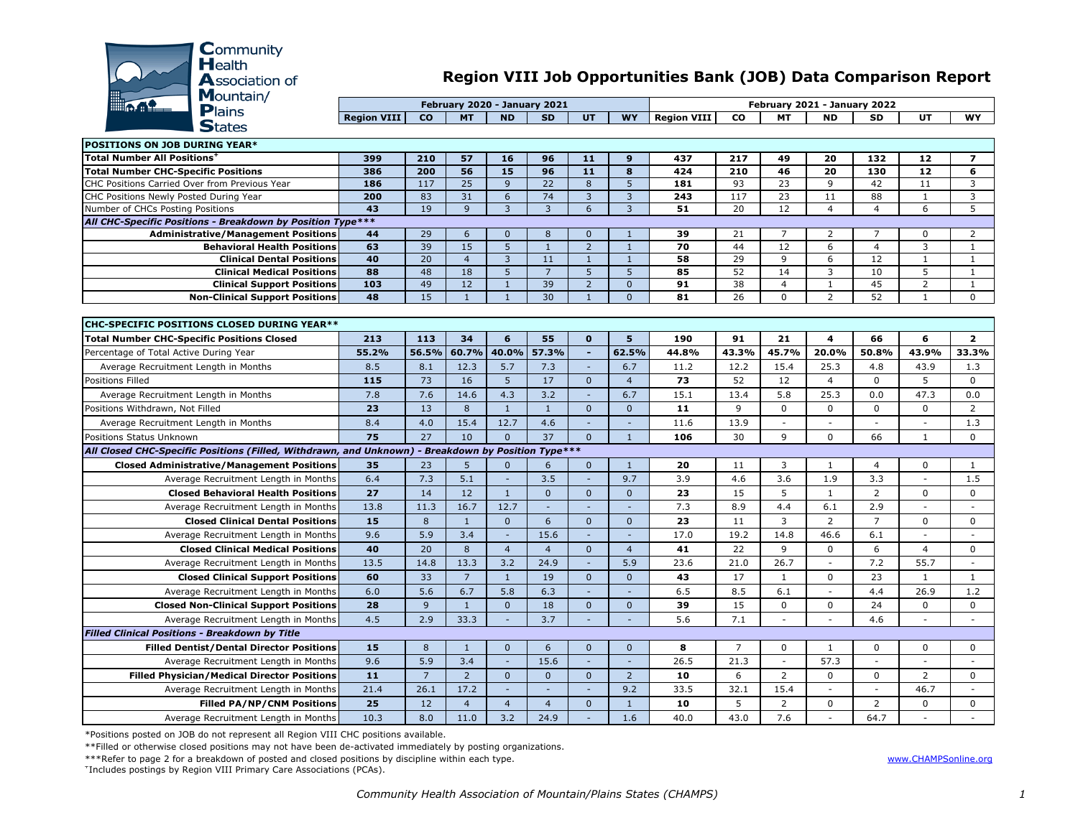

## **Region VIII Job Opportunities Bank (JOB) Data Comparison Report**

|                    |           | February 2020 - January 2021 |           |           |    |           | February 2021 - January 2022 |    |           |           |           |    |    |  |  |  |
|--------------------|-----------|------------------------------|-----------|-----------|----|-----------|------------------------------|----|-----------|-----------|-----------|----|----|--|--|--|
| <b>Region VIII</b> | <b>CO</b> | <b>MT</b>                    | <b>ND</b> | <b>SD</b> | UT | <b>WY</b> | <b>Region VIII</b>           | CO | <b>MT</b> | <b>ND</b> | <b>SD</b> | UT | WY |  |  |  |
|                    |           |                              |           |           |    |           |                              |    |           |           |           |    |    |  |  |  |

| <b>POSITIONS ON JOB DURING YEAR*</b>                                                               |          |                  |                      |                     |                    |                                |                              |          |                |                |                |                      |                   |                          |
|----------------------------------------------------------------------------------------------------|----------|------------------|----------------------|---------------------|--------------------|--------------------------------|------------------------------|----------|----------------|----------------|----------------|----------------------|-------------------|--------------------------|
| Total Number All Positions <sup>+</sup>                                                            | 399      | 210              | 57                   | 16                  | 96                 | 11                             | 9                            | 437      | 217            | 49             | 20             | 132                  | 12                | $\overline{\mathbf{z}}$  |
| <b>Total Number CHC-Specific Positions</b>                                                         | 386      | 200              | 56                   | 15                  | 96                 | $\overline{11}$                | 8                            | 424      | 210            | 46             | 20             | 130                  | $12$              | 6                        |
| CHC Positions Carried Over from Previous Year                                                      | 186      | 117              | $\overline{25}$      | $\overline{9}$      | 22                 | 8                              | 5                            | 181      | 93             | 23             | 9              | 42                   | 11                | 3                        |
| CHC Positions Newly Posted During Year                                                             | 200      | 83               | 31                   | 6                   | 74                 | $\overline{3}$                 | 3                            | 243      | 117            | 23             | 11             | 88                   | $\mathbf{1}$      | 3                        |
| Number of CHCs Posting Positions                                                                   | 43       | 19               | 9                    | $\overline{3}$      | 3                  | 6                              | 3                            | 51       | 20             | 12             | $\overline{4}$ | $\overline{4}$       | 6                 | 5                        |
| All CHC-Specific Positions - Breakdown by Position Type***                                         |          |                  |                      |                     |                    |                                |                              |          |                |                |                |                      |                   |                          |
| <b>Administrative/Management Positions</b>                                                         | 44       | 29               | 6                    | $\Omega$            | 8                  | $\Omega$                       | $\mathbf{1}$                 | 39       | 21             | 7              | 2              | $\overline{7}$       | $\Omega$          | $\overline{2}$           |
| <b>Behavioral Health Positions</b>                                                                 | 63<br>40 | 39<br>20         | 15<br>$\overline{4}$ | 5<br>$\overline{3}$ | $\mathbf{1}$<br>11 | $\overline{2}$<br>$\mathbf{1}$ | $\mathbf{1}$<br>$\mathbf{1}$ | 70<br>58 | 44<br>29       | 12<br>9        | 6<br>6         | $\overline{4}$<br>12 | 3<br>$\mathbf{1}$ | 1<br>$\mathbf{1}$        |
| <b>Clinical Dental Positions</b><br><b>Clinical Medical Positions</b>                              | 88       | 48               | $\overline{18}$      | 5                   | $\overline{7}$     | 5                              | 5                            | 85       | 52             | 14             | 3              | 10                   | 5                 | $\mathbf{1}$             |
| <b>Clinical Support Positions</b>                                                                  | 103      | 49               | $\overline{12}$      | $\mathbf{1}$        | 39                 | $\overline{2}$                 | $\mathbf{0}$                 | 91       | 38             | $\overline{4}$ | $\mathbf{1}$   | 45                   | $\overline{2}$    | $\mathbf{1}$             |
| <b>Non-Clinical Support Positions</b>                                                              | 48       | 15               | $\mathbf{1}$         | $\mathbf{1}$        | 30                 | $\mathbf{1}$                   | $\mathbf{0}$                 | 81       | 26             | $\Omega$       | $\overline{2}$ | 52                   | $\mathbf{1}$      | $\mathbf 0$              |
|                                                                                                    |          |                  |                      |                     |                    |                                |                              |          |                |                |                |                      |                   |                          |
| <b>CHC-SPECIFIC POSITIONS CLOSED DURING YEAR**</b>                                                 |          |                  |                      |                     |                    |                                |                              |          |                |                |                |                      |                   |                          |
| <b>Total Number CHC-Specific Positions Closed</b>                                                  | 213      | 113              | 34                   | 6                   | 55                 | $\mathbf{0}$                   | 5                            | 190      | 91             | 21             | 4              | 66                   | 6                 | $\overline{2}$           |
| Percentage of Total Active During Year                                                             | 55.2%    | 56.5%            | 60.7%                | 40.0%               | 57.3%              | $\overline{\phantom{a}}$       | 62.5%                        | 44.8%    | 43.3%          | 45.7%          | 20.0%          | 50.8%                | 43.9%             | 33.3%                    |
| Average Recruitment Length in Months                                                               | 8.5      | 8.1              | 12.3                 | 5.7                 | 7.3                |                                | 6.7                          | 11.2     | 12.2           | 15.4           | 25.3           | 4.8                  | 43.9              | 1.3                      |
| Positions Filled                                                                                   | 115      | 73               | 16                   | 5                   | 17                 | $\mathbf{0}$                   | $\overline{4}$               | 73       | 52             | 12             | $\overline{4}$ | $\Omega$             | 5                 | $\mathbf 0$              |
| Average Recruitment Length in Months                                                               | 7.8      | 7.6              | 14.6                 | 4.3                 | 3.2                | $\sim$                         | 6.7                          | 15.1     | 13.4           | 5.8            | 25.3           | 0.0                  | 47.3              | 0.0                      |
| Positions Withdrawn, Not Filled                                                                    | 23       | 13               | 8                    | $\mathbf{1}$        | $\mathbf{1}$       | $\Omega$                       | $\mathbf{0}$                 | 11       | 9              | $\Omega$       | $\Omega$       | 0                    | $\Omega$          | $\overline{2}$           |
| Average Recruitment Length in Months                                                               | 8.4      | 4.0              | 15.4                 | 12.7                | 4.6                |                                |                              | 11.6     | 13.9           |                | $\sim$         | $\sim$               |                   | 1.3                      |
| Positions Status Unknown                                                                           | 75       | 27               | 10                   | $\Omega$            | 37                 | $\Omega$                       | $\mathbf{1}$                 | 106      | 30             | 9              | $\mathbf 0$    | 66                   | $\mathbf{1}$      | $\mathbf 0$              |
| All Closed CHC-Specific Positions (Filled, Withdrawn, and Unknown) - Breakdown by Position Type*** |          |                  |                      |                     |                    |                                |                              |          |                |                |                |                      |                   |                          |
| <b>Closed Administrative/Management Positions</b>                                                  | 35       | 23               | 5                    | $\mathbf{0}$        | 6                  | $\mathbf{0}$                   | $\mathbf{1}$                 | 20       | 11             | 3              | $\mathbf{1}$   | $\overline{4}$       | 0                 | 1                        |
| Average Recruitment Length in Months                                                               | 6.4      | 7.3              | 5.1                  | $\sim$              | 3.5                |                                | 9.7                          | 3.9      | 4.6            | 3.6            | 1.9            | 3.3                  | $\sim$            | 1.5                      |
| <b>Closed Behavioral Health Positions</b>                                                          | 27       | 14               | 12                   | $\mathbf{1}$        | $\Omega$           | $\Omega$                       | $\mathbf{0}$                 | 23       | 15             | 5              | $\mathbf{1}$   | $\overline{2}$       | $\Omega$          | $\Omega$                 |
| Average Recruitment Length in Months                                                               | 13.8     | 11.3             | 16.7                 | 12.7                | $\sim$             |                                | ۰                            | 7.3      | 8.9            | 4.4            | 6.1            | 2.9                  | $\sim$            | $\overline{\phantom{a}}$ |
| <b>Closed Clinical Dental Positions</b>                                                            | 15       | 8                | $\mathbf{1}$         | $\mathbf{0}$        | 6                  | $\overline{0}$                 | $\overline{0}$               | 23       | 11             | $\overline{3}$ | $\overline{2}$ | $\overline{7}$       | 0                 | $\mathbf 0$              |
| Average Recruitment Length in Months                                                               | 9.6      | 5.9              | 3.4                  | $\mathcal{L}$       | 15.6               |                                | L,                           | 17.0     | 19.2           | 14.8           | 46.6           | 6.1                  | $\blacksquare$    | $\sim$                   |
| <b>Closed Clinical Medical Positions</b>                                                           | 40       | 20               | 8                    | $\overline{4}$      | $\overline{4}$     | $\mathbf{0}$                   | $\overline{4}$               | 41       | 22             | 9              | $\mathbf 0$    | 6                    | 4                 | $\mathbf 0$              |
| Average Recruitment Length in Months                                                               | 13.5     | 14.8             | 13.3                 | 3.2                 | 24.9               |                                | 5.9                          | 23.6     | 21.0           | 26.7           |                | 7.2                  | 55.7              | $\sim$                   |
| <b>Closed Clinical Support Positions</b>                                                           | 60       | 33               | $\overline{7}$       | $\mathbf{1}$        | 19                 | $\mathbf{0}$                   | $\mathbf{0}$                 | 43       | 17             | $\mathbf{1}$   | $\mathbf 0$    | 23                   | $\mathbf{1}$      | $\mathbf{1}$             |
| Average Recruitment Length in Months                                                               | 6.0      | 5.6              | 6.7                  | 5.8                 | 6.3                |                                |                              | 6.5      | 8.5            | 6.1            |                | 4.4                  | 26.9              | 1.2                      |
| <b>Closed Non-Clinical Support Positions</b>                                                       | 28       | 9                | $\mathbf{1}$         | $\mathbf{0}$        | 18                 | $\mathbf 0$                    | $\mathbf{0}$                 | 39       | 15             | $\mathbf 0$    | $\mathbf 0$    | 24                   | 0                 | $\mathbf 0$              |
| Average Recruitment Length in Months                                                               | 4.5      | 2.9              | 33.3                 |                     | 3.7                |                                |                              | 5.6      | 7.1            |                |                | 4.6                  |                   | $\sim$                   |
| <b>Filled Clinical Positions - Breakdown by Title</b>                                              |          |                  |                      |                     |                    |                                |                              |          |                |                |                |                      |                   |                          |
| <b>Filled Dentist/Dental Director Positions</b>                                                    | 15       | $\boldsymbol{8}$ | $\mathbf{1}$         | $\mathbf{0}$        | 6                  | $\overline{0}$                 | $\overline{0}$               | 8        | $\overline{7}$ | $\Omega$       | 1              | 0                    | 0                 | $\mathbf 0$              |
| Average Recruitment Length in Months                                                               | 9.6      | 5.9              | 3.4                  | $\mathcal{L}$       | 15.6               |                                | L,                           | 26.5     | 21.3           | $\sim$         | 57.3           | $\sim$               | $\mathcal{L}$     | $\overline{a}$           |
| <b>Filled Physician/Medical Director Positions</b>                                                 | 11       | $\overline{7}$   | $\overline{2}$       | $\mathbf{0}$        | $\mathbf{0}$       | $\mathbf{0}$                   | $\overline{2}$               | 10       | 6              | $\overline{2}$ | $\mathbf 0$    | $\mathbf 0$          | $\overline{2}$    | $\mathbf 0$              |
| Average Recruitment Length in Months                                                               | 21.4     | 26.1             | 17.2                 | $\sim$              | $\sim$             |                                | 9.2                          | 33.5     | 32.1           | 15.4           |                | $\sim$               | 46.7              |                          |
| <b>Filled PA/NP/CNM Positions</b>                                                                  | 25       | 12               | $\overline{4}$       | $\overline{4}$      | $\overline{4}$     | $\mathbf{0}$                   | $\mathbf{1}$                 | 10       | 5              | $\overline{2}$ | $\mathbf 0$    | $\overline{2}$       | 0                 | $\mathbf 0$              |
| Average Recruitment Length in Months                                                               | 10.3     | 8.0              | 11.0                 | 3.2                 | 24.9               | $\blacksquare$                 | 1.6                          | 40.0     | 43.0           | 7.6            |                | 64.7                 |                   |                          |

\*Positions posted on JOB do not represent all Region VIII CHC positions available.

\*\*Filled or otherwise closed positions may not have been de-activated immediately by posting organizations.

\*\*\*Refer to page 2 for a breakdown of posted and closed positions by discipline within each type.

+ Includes postings by Region VIII Primary Care Associations (PCAs).